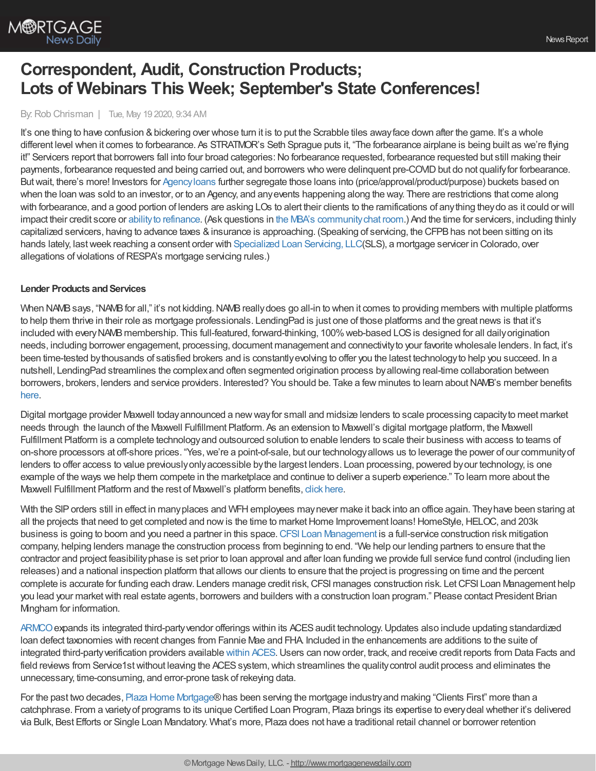

# **Correspondent, Audit, Construction Products; Lots of Webinars This Week; September's State Conferences!**

By:Rob Chrisman | Tue, May 19 2020, 9:34 AM

It's one thing to have confusion & bickering over whose turn it is to put the Scrabble tiles away face down after the game. It's a whole different level when it comes to forbearance. As STRATMOR's Seth Sprague puts it, "The forbearance airplane is being built as we're flying it!" Servicers report that borrowers fall into four broad categories: No forbearance requested, forbearance requested but still making their payments, forbearance requested and being carried out, and borrowers who were delinquent pre-COVID but do not qualify for forbearance. Butwait, there's more! Investors for [Agencyloans](https://covid19.mayerbrown.com/real-estate-freddie-mac-and-fannie-mae-covid-19-forbearance-programs/) further segregate those loans into (price/approval/product/purpose) buckets based on when the loan was sold to an investor, or to an Agency, and any events happening along the way. There are restrictions that come along with forbearance, and a good portion of lenders are asking LOs to alert their clients to the ramifications of anything theydo as it could or will impact their credit score or ability to [refinance.](https://www.mba.org/news-research-and-resources/mba-coronavirus-(covid-19)-updates) (Ask questions in the MBA's community chat room.) And the time for servicers, including thinly capitalized servicers, having to advance taxes & insurance is approaching. (Speaking of servicing, the CFPB has not been sitting on its hands lately, lastweek reaching a consent order with [Specialized](https://www.consumerfinance.gov/about-us/newsroom/cfpb-settles-specialized-loan-servicing/) Loan Servicing, LLC(SLS), a mortgage servicer in Colorado, over allegations of violations of RESPA's mortgage servicing rules.)

#### **Lender Products and Services**

When NAMB says, "NAMB for all," it's not kidding. NAMB really does go all-in to when it comes to providing members with multiple platforms to help them thrive in their role as mortgage professionals. LendingPad is just one of those platforms and the great news is that it's included with every NAMB membership. This full-featured, forward-thinking, 100% web-based LOS is designed for all daily origination needs, including borrower engagement, processing, document management and connectivity to your favorite wholesale lenders. In fact, it's been time-tested bythousands of satisfied brokers and is constantlyevolving to offer you the latest technologyto help you succeed. In a nutshell, LendingPad streamlines the complexand often segmented origination process byallowing real-time collaboration between borrowers, brokers, lenders and service providers. Interested? You should be. Take a few minutes to learn about NAMB's member benefits [here.](https://namb.org/page/benefitsofmembership)

Digital mortgage provider Maxwell todayannounced a newwayfor small and midsize lenders to scale processing capacityto meet market needs through the launch of the Maxwell Fulfillment Platform. As an extension to Maxwell's digital mortgage platform, the Maxwell Fulfillment Platform is a complete technologyand outsourced solution to enable lenders to scale their business with access to teams of on-shore processors at off-shore prices. "Yes, we're a point-of-sale, but our technology allows us to leverage the power of our community of lenders to offer access to value previouslyonlyaccessible bythe largest lenders. Loan processing, powered byour technology, is one example of the ways we help them compete in the marketplace and continue to deliver a superb experience." To learn more about the Maxwell Fulfillment Platform and the rest of Maxwell's platform benefits, click [here](https://himaxwell.com/services?utm_source=RC&utm_medium=RC_PR_05.18).

With the SIP orders still in effect in many places and WFH employees may never make it back into an office again. They have been staring at all the projects that need to get completed and now is the time to market Home Improvement loans! HomeStyle, HELOC, and 203k business is going to boom and you need a partner in this space.CFSI Loan [Management](http://www.thinkcfsi.com/) is a full-service construction risk mitigation company, helping lenders manage the construction process from beginning to end. "We help our lending partners to ensure that the contractor and project feasibilityphase is set prior to loan approval and after loan funding we provide full service fund control (including lien releases) and a national inspection platform that allows our clients to ensure that the project is progressing on time and the percent complete is accurate for funding each draw. Lenders manage credit risk, CFSI manages construction risk. Let CFSI Loan Management help you lead your market with real estate agents, borrowers and builders with a construction loan program." Please contact President Brian Mingham for information.

[ARMCO](https://www.armco.us/company/news/armco-expands-integrated-third-party-vendor-offerings-within-aces-audit-technology?utm_source=Rob+Chrisman&utm_medium=text+ad&utm_content=051920&utm_campaign=Press+release_ACES+Product)expands its integrated third-partyvendor offerings within its ACESaudit technology.Updates also include updating standardized loan defect taxonomies with recent changes from Fannie Mae and FHA. Included in the enhancements are additions to the suite of integrated third-partyverification providers available [within](https://www.armco.us/company/news/armco-expands-integrated-third-party-vendor-offerings-within-aces-audit-technology?utm_source=Rob+Chrisman&utm_medium=text+ad&utm_content=051920&utm_campaign=Press+release_ACES+Product) ACES.Users can noworder, track, and receive credit reports from Data Facts and field reviews from Service1st without leaving the ACES system, which streamlines the quality control audit process and eliminates the unnecessary, time-consuming, and error-prone task of rekeying data.

For the past two decades, Plaza Home [Mortgage®](https://outlook.office.com/mail/deeplink/compose/www.plazahomemortgage.com)has been serving the mortgage industryand making "Clients First" more than a catchphrase. From a varietyof programs to its unique Certified Loan Program, Plaza brings its expertise to everydeal whether it's delivered via Bulk, Best Efforts or Single Loan Mandatory. What's more, Plaza does not have a traditional retail channel or borrower retention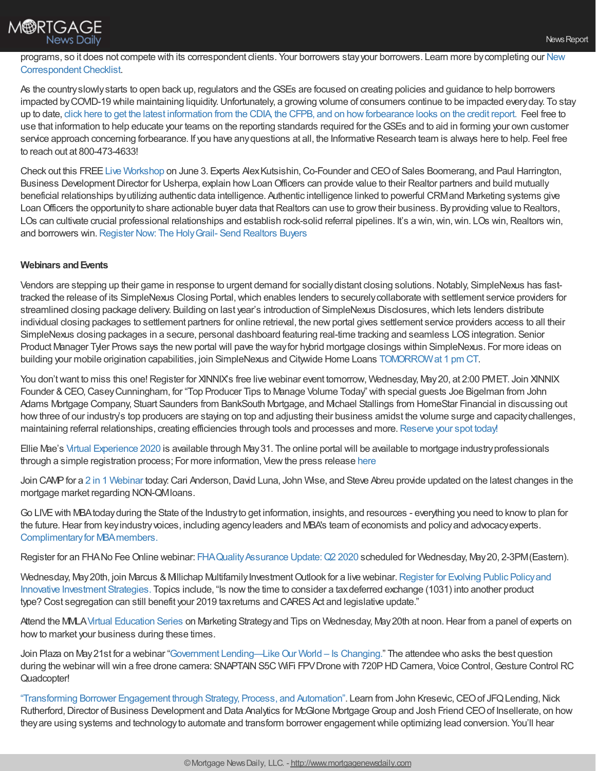

programs, so it does not compete with its correspondent clients. Your borrowers stayyour borrowers. Learn more bycompleting our New Correspondent Checklist.

As the country slowly starts to open back up, regulators and the GSEs are focused on creating policies and guidance to help borrowers impacted by COVID-19 while maintaining liquidity. Unfortunately, a growing volume of consumers continue to be impacted every day. To stay up to date, click here to get the latest information from the CDIA, the CFPB, and on [howforbearance](https://hubs.ly/H0qDBFy0) looks on the credit report. Feel free to use that information to help educate your teams on the reporting standards required for theGSEs and to aid in forming your own customer service approach concerning forbearance. If you have any questions at all, the Informative Research team is always here to help. Feel free to reach out at 800-473-4633!

Check out this FREE Live [Workshop](https://attendee.gotowebinar.com/register/6540595957803374608?source=Rob+Chrisman) on June 3. Experts Alex Kutsishin, Co-Founder and CEO of Sales Boomerang, and Paul Harrington, Business Development Director for Usherpa, explain how Loan Officers can provide value to their Realtor partners and build mutually beneficial relationships byutilizing authentic data intelligence. Authentic intelligence linked to powerful CRMand Marketing systems give Loan Officers the opportunity to share actionable buyer data that Realtors can use to grow their business. By providing value to Realtors, LOs can cultivate crucial professional relationships and establish rock-solid referral pipelines. It's a win, win, win. LOs win, Realtors win, and borrowers win. Register Now: The Holy Grail- Send Realtors Buyers

### **Webinars andEvents**

Vendors are stepping up their game in response to urgent demand for sociallydistant closing solutions.Notably, SimpleNexus has fasttracked the release of its SimpleNexus Closing Portal,which enables lenders to securelycollaborate with settlement service providers for streamlined closing package delivery. Building on last year's introduction of SimpleNexus Disclosures,which lets lenders distribute individual closing packages to settlement partners for online retrieval, the newportal gives settlement service providers access to all their SimpleNexus closing packages in a secure, personal dashboard featuring real-time tracking and seamless LOSintegration. Senior Product Manager Tyler Prows says the newportal will pave the wayfor hybrid mortgage closings within SimpleNexus. For more ideas on building your mobile origination capabilities, join SimpleNexus and Citywide Home Loans [TOMORROWat](https://bit.ly/2SGs9yo) 1 pm CT.

You don't want to miss this one! Register for XINNIX's free live webinar event tomorrow, Wednesday, May 20, at 2:00 PMET. Join XINNIX Founder &CEO,CaseyCunningham, for "Top Producer Tips to Manage Volume Today" with special guests Joe Bigelman from John Adams Mortgage Company, Stuart Saunders from BankSouth Mortgage, and Michael Stallings from HomeStar Financial in discussing out howthree of our industry's top producers are staying on top and adjusting their business amidst the volume surge and capacitychallenges, maintaining referral relationships, creating efficiencies through tools and processes and more. [Reserve](http://bit.ly/2NpcuRr) your spot today!

Ellie Mae's Virtual [Experience](https://experience.elliemae.com/keep-me-informed) 2020 is available through May31. The online portal will be available to mortgage industryprofessionals through a simple registration process; For more information, Viewthe press release [here](https://www.elliemae.com/about/news-reports/press-releases/ellie-mae-announces-virtual-experience-2020)

Join CAMP for a 2 in 1 [Webinar](https://register.gotowebinar.com/register/7295860390549698320?source=CAMP%252BEmail) today: Cari Anderson, David Luna, John Wise, and Steve Abreu provide updated on the latest changes in the mortgage market regarding NON-QMloans.

Go LIVEwith MBAtodayduring the State of the Industryto get information, insights, and resources - everything you need to knowto plan for the future.Hear from keyindustryvoices, including agencyleaders and MBA's team of economists and policyand advocacyexperts. Complimentary for MBA members.

Register for an FHANo Fee Online webinar: FHA Quality Assurance Update: Q2 2020 scheduled for Wednesday, May 20, 2-3PM (Eastern).

Wednesday, May 20th, join Marcus & Millichap Multifamily Investment Outlook for a live webinar. Register for Evolving Public Policy and Innovative Investment Strategies. Topics include, "Is nowthe time to consider a taxdeferred exchange (1031) into another product type? Cost segregation can still benefit your 2019 tax returns and CARES Act and legislative update."

Attend the MMLA Virtual [Education](https://mmla.net/meet-reg1.php?mi=1342426&id=196) Series on Marketing Strategy and Tips on Wednesday, May 20th at noon. Hear from a panel of experts on how to market your business during these times.

Join Plaza on May 21st for a webinar "Government Lending—Like Our World – Is Changing." The attendee who asks the best question during the webinar will win a free drone camera: SNAPTAIN S5C WIFi FPV Drone with 720PHD Camera, Voice Control, Gesture Control RC Quadcopter!

["Transforming](https://register.gotowebinar.com/register/6714595871300492300) Borrower Engagement through Strategy, Process, and Automation". Learn from John Kresevic, CEO of JFQ Lending, Nick Rutherford, Director of Business Development and Data Analytics for McGlone Mortgage Group and Josh Friend CEO of Insellerate, on how they are using systems and technology to automate and transform borrower engagement while optimizing lead conversion. You'll hear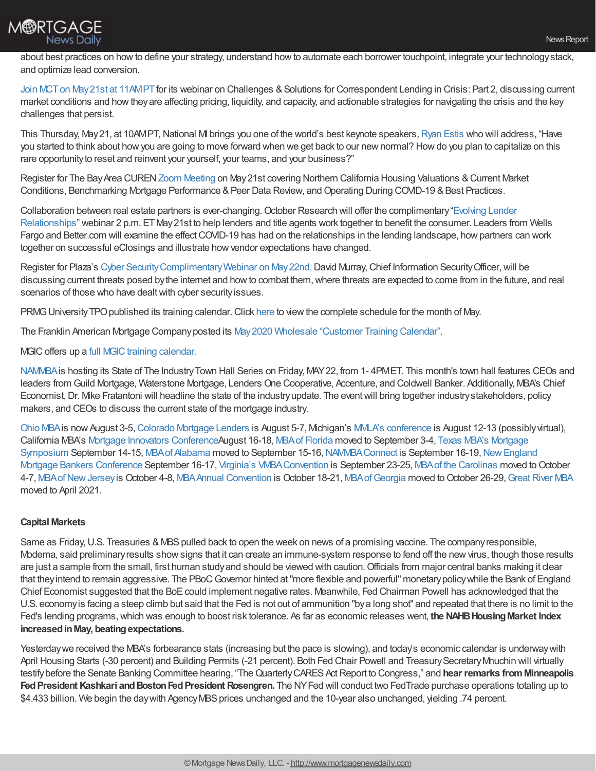

about best practices on howto define your strategy, understand howto automate each borrower touchpoint, integrate your technologystack, and optimize lead conversion.

Join MCT on May 21st at 11AMPT for its webinar on Challenges & Solutions for Correspondent Lending in Crisis: Part 2, discussing current market conditions and howtheyare affecting pricing, liquidity, and capacity, and actionable strategies for navigating the crisis and the key challenges that persist.

This Thursday, May 21, at 10AMPT, National MI brings you one of the world's best keynote speakers, [Ryan](https://register.gotowebinar.com/register/3805584972459479565) Estis who will address, "Have you started to think about howyou are going to move forward when we get back to our newnormal? Howdo you plan to capitalize on this rare opportunityto reset and reinvent your yourself, your teams, and your business?"

Register for The Bay Area CUREN Zoom [Meeting](https://events.r20.constantcontact.com/register/eventReg?oeidk=a07eh2yv0mtb78d7290&oseq) on May 21st covering Northern California Housing Valuations & Current Market Conditions, Benchmarking Mortgage Performance & Peer Data Review, and Operating During COVID-19 & Best Practices.

Collaboration between real estate partners is ever-changing. October Research will offer the complimentary "Evolving Lender Relationships" webinar 2 p.m. ET May 21st to help lenders and title agents work together to benefit the consumer. Leaders from Wells Fargo and Better.com will examine the effect COVID-19 has had on the relationships in the lending landscape, how partners can work together on successful eClosings and illustrate howvendor expectations have changed.

Register for Plaza's Cyber Security Complimentary Webinar on May 22nd. David Murray, Chief Information Security Officer, will be discussing current threats posed by the internet and how to combat them, where threats are expected to come from in the future, and real scenarios of those who have dealt with cyber security issues.

PRMG University TPO published its training calendar. Click [here](http://www.eprmg.net/training/calendar/PRMG%20University%20-%20TPO%20Class%20Schedule.pdf) to view the complete schedule for the month of May.

The Franklin American Mortgage Companyposted its May2020 Wholesale ["Customer](https://wholesalestorefront.franklinamerican.com/calendar/) Training Calendar".

### MGIC offers up a full MGIC training calendar.

[NAMMBA](http://www.nammba.org/)is hosting its State of The IndustryTown Hall Series on Friday, MAY22, from 1- 4PMET. This month's town hall features CEOs and leaders from Guild Mortgage, Waterstone Mortgage, Lenders One Cooperative, Accenture, and Coldwell Banker. Additionally, MBA's Chief Economist, Dr. Mke Fratantoni will headline the state of the industry update. The event will bring together industry stakeholders, policy makers, and CEOs to discuss the current state of the mortgage industry.

[Ohio](http://www.ohiomba.org/index.php/annual-convention-clear-vision-in-2020-new-dates-august-3-5-2020/) MBAis nowAugust 3-5,[Colorado](https://cmla.com/civicrm/event/info?id=309&reset=1) Mortgage Lenders is August 5-7, Michigan's MMLA's [conference](https://mmla.net/meetinginfo.php?id=223&ts=1588171435) is August 12-13 (possiblyvirtual), California MBA's Mortgage Innovators [Conference](https://mortgageinnovators.com/)August 16-18, MBAof [Florida](https://www.mbaf.org/2020-convention-and-conference/) moved to September 3-4, Texas MBA's Mortgage Symposium September 14-15, MBA of [Alabama](https://www.mbaal.org/) moved to September 15-16, NAMMBA Connect is September 16-19, New England Mortgage Bankers Conference September 16-17, Virginia's VMBA Convention is September 23-25, MBA of the [Carolinas](https://mbac.org/) moved to October 4-7, MBA of New Jersey is October 4-8, MBA Annual Convention is October 18-21, MBA of Georgia moved to October 26-29, Great River MBA moved to April 2021.

#### **Capital Markets**

Same as Friday, U.S. Treasuries & MBS pulled back to open the week on news of a promising vaccine. The company responsible, Moderna, said preliminary results show signs that it can create an immune-system response to fend off the new virus, though those results are just a sample from the small, first human study and should be viewed with caution. Officials from major central banks making it clear that theyintend to remain aggressive. The PBoCGovernor hinted at"more flexible and powerful" monetarypolicywhile the Bank of England Chief Economist suggested that the BoE could implement negative rates. Meanwhile, Fed Chairman Powell has acknowledged that the U.S. economyis facing a steep climb but said that the Fed is not out of ammunition "bya long shot" and repeated that there is no limit to the Fed's lending programs,which was enough to boost risk tolerance. As far as economic releases went, **the NAHBHousingMarket Index increasedinMay, beatingexpectations.**

Yesterday we received the MBA's forbearance stats (increasing but the pace is slowing), and today's economic calendar is underway with April Housing Starts (-30 percent) and Building Permits (-21 percent). Both Fed Chair Powell and Treasury Secretary Mnuchin will virtually testifybefore the Senate Banking Committee hearing, "TheQuarterlyCARESActReport to Congress," and **hear remarks fromMinneapolis Fed President Kashkari and Boston Fed President Rosengren. The NY Fed will conduct two FedTrade purchase operations totaling up to** \$4.433 billion. We begin the day with Agency MBS prices unchanged and the 10-year also unchanged, yielding .74 percent.